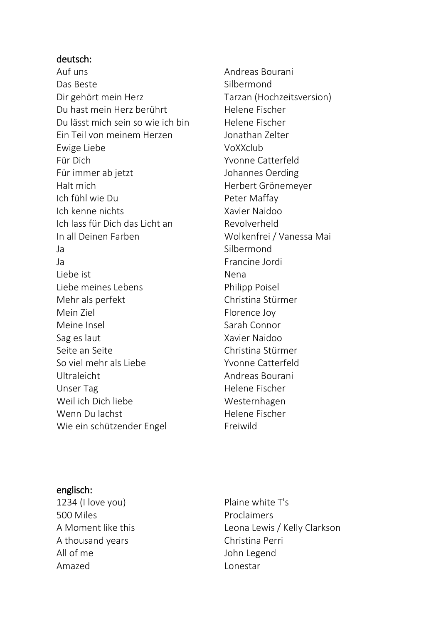## deutsch:

Auf uns Das Beste Dir gehört mein Herz Du hast mein Herz berührt Du lässt mich sein so wie ich bin Ein Teil von meinem Herzen Ewige Liebe Für Dich Für immer ab jetzt Halt mich Ich fühl wie Du Ich kenne nichts Ich lass für Dich das Licht an In all Deinen Farben Ja Ja Liebe ist Liebe meines Lebens Mehr als perfekt Mein Ziel Meine Insel Sag es laut Seite an Seite So viel mehr als Liebe Ultraleicht Unser Tag Weil ich Dich liebe Wenn Du lachst Wie ein schützender Engel

Andreas Bourani Silbermond Tarzan (Hochzeitsversion) Helene Fischer Helene Fischer Jonathan Zelter VoXXclub Yvonne Catterfeld Johannes Oerding Herbert Grönemeyer Peter Maffay Xavier Naidoo Revolverheld Wolkenfrei / Vanessa Mai Silbermond Francine Jordi Nena Philipp Poisel Christina Stürmer Florence Joy Sarah Connor Xavier Naidoo Christina Stürmer Yvonne Catterfeld Andreas Bourani Helene Fischer Westernhagen Helene Fischer Freiwild

## englisch:

1234 (I love you) 500 Miles A Moment like this A thousand years All of me Amazed

Plaine white T's Proclaimers Leona Lewis / Kelly Clarkson Christina Perri John Legend Lonestar